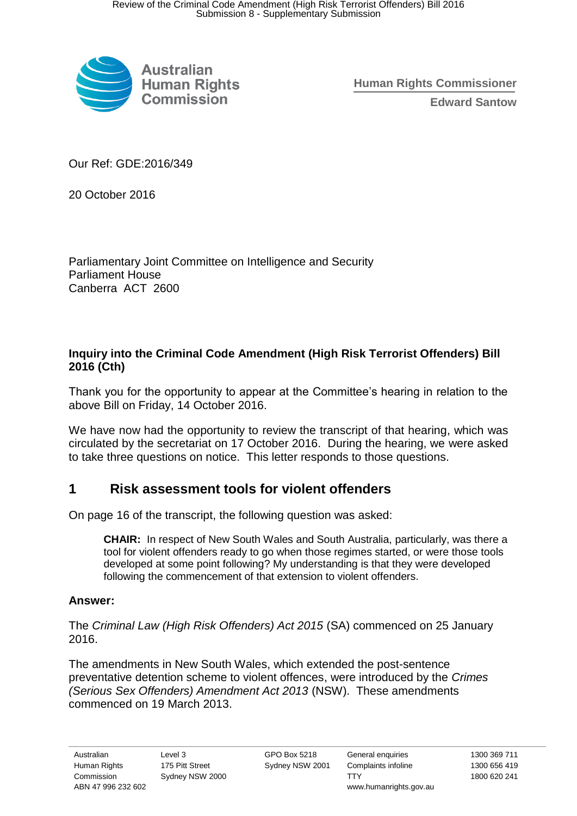

**Human Rights Commissioner Edward Santow**

Our Ref: GDE:2016/349

20 October 2016

Parliamentary Joint Committee on Intelligence and Security Parliament House Canberra ACT 2600

## **Inquiry into the Criminal Code Amendment (High Risk Terrorist Offenders) Bill 2016 (Cth)**

Thank you for the opportunity to appear at the Committee's hearing in relation to the above Bill on Friday, 14 October 2016.

We have now had the opportunity to review the transcript of that hearing, which was circulated by the secretariat on 17 October 2016. During the hearing, we were asked to take three questions on notice. This letter responds to those questions.

# **1 Risk assessment tools for violent offenders**

On page 16 of the transcript, the following question was asked:

**CHAIR:** In respect of New South Wales and South Australia, particularly, was there a tool for violent offenders ready to go when those regimes started, or were those tools developed at some point following? My understanding is that they were developed following the commencement of that extension to violent offenders.

## **Answer:**

The *Criminal Law (High Risk Offenders) Act 2015* (SA) commenced on 25 January 2016.

The amendments in New South Wales, which extended the post-sentence preventative detention scheme to violent offences, were introduced by the *Crimes (Serious Sex Offenders) Amendment Act 2013* (NSW). These amendments commenced on 19 March 2013.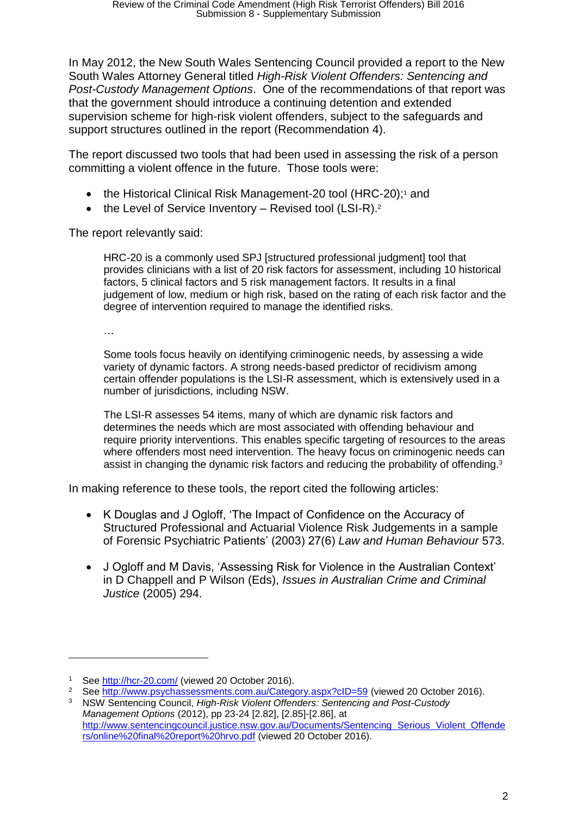In May 2012, the New South Wales Sentencing Council provided a report to the New South Wales Attorney General titled *High-Risk Violent Offenders: Sentencing and Post-Custody Management Options*. One of the recommendations of that report was that the government should introduce a continuing detention and extended supervision scheme for high-risk violent offenders, subject to the safeguards and support structures outlined in the report (Recommendation 4).

The report discussed two tools that had been used in assessing the risk of a person committing a violent offence in the future. Those tools were:

- the Historical Clinical Risk Management-20 tool (HRC-20);<sup>1</sup> and
- $\bullet$  the Level of Service Inventory Revised tool (LSI-R).<sup>2</sup>

The report relevantly said:

HRC-20 is a commonly used SPJ [structured professional judgment] tool that provides clinicians with a list of 20 risk factors for assessment, including 10 historical factors, 5 clinical factors and 5 risk management factors. It results in a final judgement of low, medium or high risk, based on the rating of each risk factor and the degree of intervention required to manage the identified risks.

…

 $\overline{a}$ 

Some tools focus heavily on identifying criminogenic needs, by assessing a wide variety of dynamic factors. A strong needs-based predictor of recidivism among certain offender populations is the LSI-R assessment, which is extensively used in a number of jurisdictions, including NSW.

The LSI-R assesses 54 items, many of which are dynamic risk factors and determines the needs which are most associated with offending behaviour and require priority interventions. This enables specific targeting of resources to the areas where offenders most need intervention. The heavy focus on criminogenic needs can assist in changing the dynamic risk factors and reducing the probability of offending.<sup>3</sup>

In making reference to these tools, the report cited the following articles:

- K Douglas and J Ogloff, 'The Impact of Confidence on the Accuracy of Structured Professional and Actuarial Violence Risk Judgements in a sample of Forensic Psychiatric Patients' (2003) 27(6) *Law and Human Behaviour* 573.
- J Ogloff and M Davis, 'Assessing Risk for Violence in the Australian Context' in D Chappell and P Wilson (Eds), *Issues in Australian Crime and Criminal Justice* (2005) 294.

<sup>&</sup>lt;sup>1</sup> See http://hcr-20.com/ (viewed 20 October 2016).

See http://www.psychassessments.com.au/Category.aspx?cID=59 (viewed 20 October 2016).

<sup>3</sup> NSW Sentencing Council, *High-Risk Violent Offenders: Sentencing and Post-Custody Management Options* (2012), pp 23-24 [2.82], [2.85]-[2.86], at http://www.sentencingcouncil.justice.nsw.gov.au/Documents/Sentencing Serious Violent Offende rs/online%20final%20report%20hrvo.pdf (viewed 20 October 2016).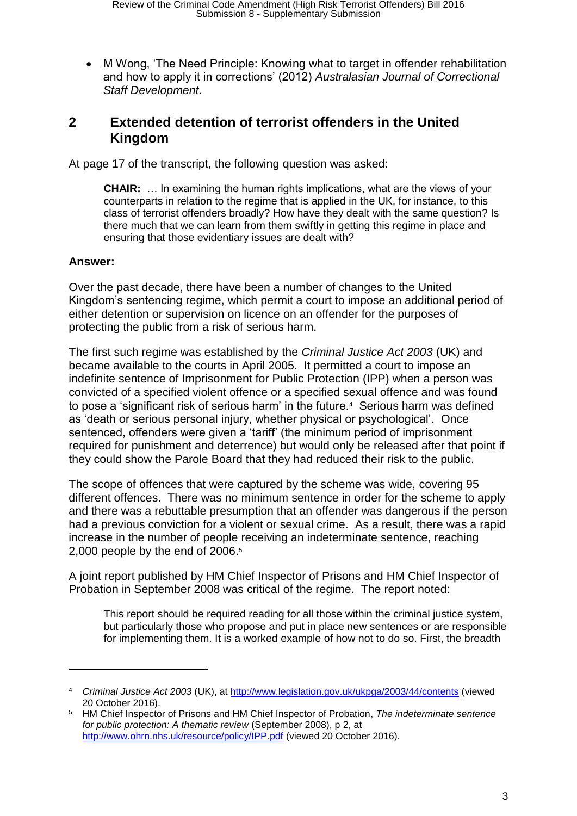M Wong, 'The Need Principle: Knowing what to target in offender rehabilitation and how to apply it in corrections' (2012) *Australasian Journal of Correctional Staff Development*.

## **2 Extended detention of terrorist offenders in the United Kingdom**

At page 17 of the transcript, the following question was asked:

**CHAIR:** … In examining the human rights implications, what are the views of your counterparts in relation to the regime that is applied in the UK, for instance, to this class of terrorist offenders broadly? How have they dealt with the same question? Is there much that we can learn from them swiftly in getting this regime in place and ensuring that those evidentiary issues are dealt with?

#### **Answer:**

 $\overline{a}$ 

Over the past decade, there have been a number of changes to the United Kingdom's sentencing regime, which permit a court to impose an additional period of either detention or supervision on licence on an offender for the purposes of protecting the public from a risk of serious harm.

The first such regime was established by the *Criminal Justice Act 2003* (UK) and became available to the courts in April 2005. It permitted a court to impose an indefinite sentence of Imprisonment for Public Protection (IPP) when a person was convicted of a specified violent offence or a specified sexual offence and was found to pose a 'significant risk of serious harm' in the future.<sup>4</sup> Serious harm was defined as 'death or serious personal injury, whether physical or psychological'. Once sentenced, offenders were given a 'tariff' (the minimum period of imprisonment required for punishment and deterrence) but would only be released after that point if they could show the Parole Board that they had reduced their risk to the public.

The scope of offences that were captured by the scheme was wide, covering 95 different offences. There was no minimum sentence in order for the scheme to apply and there was a rebuttable presumption that an offender was dangerous if the person had a previous conviction for a violent or sexual crime. As a result, there was a rapid increase in the number of people receiving an indeterminate sentence, reaching 2,000 people by the end of 2006.<sup>5</sup>

A joint report published by HM Chief Inspector of Prisons and HM Chief Inspector of Probation in September 2008 was critical of the regime. The report noted:

This report should be required reading for all those within the criminal justice system, but particularly those who propose and put in place new sentences or are responsible for implementing them. It is a worked example of how not to do so. First, the breadth

<sup>4</sup> *Criminal Justice Act 2003* (UK), at http://www.legislation.gov.uk/ukpga/2003/44/contents (viewed 20 October 2016).

<sup>5</sup> HM Chief Inspector of Prisons and HM Chief Inspector of Probation, *The indeterminate sentence for public protection: A thematic review* (September 2008), p 2, at http://www.ohrn.nhs.uk/resource/policy/IPP.pdf (viewed 20 October 2016).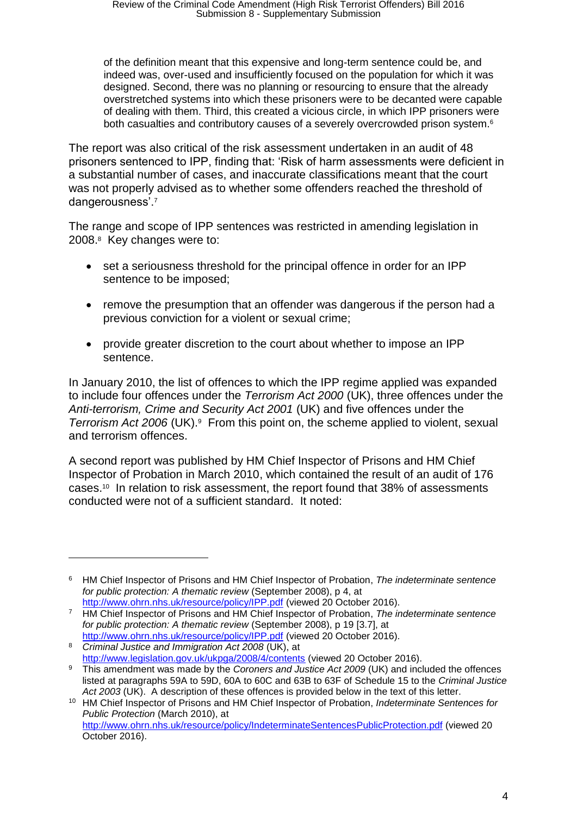of the definition meant that this expensive and long-term sentence could be, and indeed was, over-used and insufficiently focused on the population for which it was designed. Second, there was no planning or resourcing to ensure that the already overstretched systems into which these prisoners were to be decanted were capable of dealing with them. Third, this created a vicious circle, in which IPP prisoners were both casualties and contributory causes of a severely overcrowded prison system.<sup>6</sup>

The report was also critical of the risk assessment undertaken in an audit of 48 prisoners sentenced to IPP, finding that: 'Risk of harm assessments were deficient in a substantial number of cases, and inaccurate classifications meant that the court was not properly advised as to whether some offenders reached the threshold of dangerousness'.<sup>7</sup>

The range and scope of IPP sentences was restricted in amending legislation in 2008.<sup>8</sup> Key changes were to:

- set a seriousness threshold for the principal offence in order for an IPP sentence to be imposed;
- remove the presumption that an offender was dangerous if the person had a previous conviction for a violent or sexual crime;
- provide greater discretion to the court about whether to impose an IPP sentence.

In January 2010, the list of offences to which the IPP regime applied was expanded to include four offences under the *Terrorism Act 2000* (UK), three offences under the *Anti-terrorism, Crime and Security Act 2001* (UK) and five offences under the Terrorism Act 2006 (UK).<sup>9</sup> From this point on, the scheme applied to violent, sexual and terrorism offences.

A second report was published by HM Chief Inspector of Prisons and HM Chief Inspector of Probation in March 2010, which contained the result of an audit of 176 cases.<sup>10</sup> In relation to risk assessment, the report found that 38% of assessments conducted were not of a sufficient standard. It noted:

 $\overline{a}$ 

<sup>6</sup> HM Chief Inspector of Prisons and HM Chief Inspector of Probation, *The indeterminate sentence for public protection: A thematic review* (September 2008), p 4, at http://www.ohrn.nhs.uk/resource/policy/IPP.pdf (viewed 20 October 2016).

<sup>7</sup> HM Chief Inspector of Prisons and HM Chief Inspector of Probation, *The indeterminate sentence for public protection: A thematic review* (September 2008), p 19 [3.7], at http://www.ohrn.nhs.uk/resource/policy/IPP.pdf (viewed 20 October 2016).

<sup>8</sup> *Criminal Justice and Immigration Act 2008* (UK), at http://www.legislation.gov.uk/ukpga/2008/4/contents (viewed 20 October 2016).

<sup>9</sup> This amendment was made by the *Coroners and Justice Act 2009* (UK) and included the offences listed at paragraphs 59A to 59D, 60A to 60C and 63B to 63F of Schedule 15 to the *Criminal Justice Act 2003* (UK). A description of these offences is provided below in the text of this letter.

<sup>10</sup> HM Chief Inspector of Prisons and HM Chief Inspector of Probation, *Indeterminate Sentences for Public Protection* (March 2010), at

http://www.ohrn.nhs.uk/resource/policy/IndeterminateSentencesPublicProtection.pdf (viewed 20 October 2016).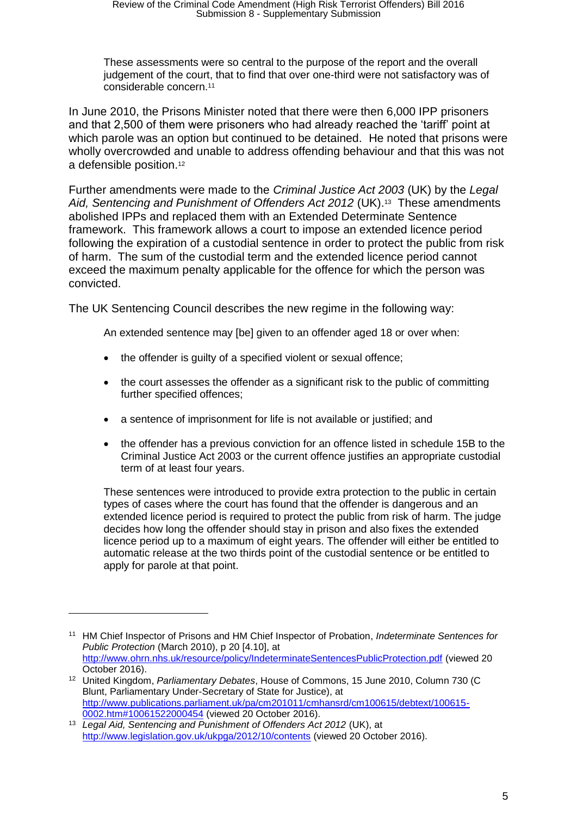These assessments were so central to the purpose of the report and the overall judgement of the court, that to find that over one-third were not satisfactory was of considerable concern.<sup>11</sup>

In June 2010, the Prisons Minister noted that there were then 6,000 IPP prisoners and that 2,500 of them were prisoners who had already reached the 'tariff' point at which parole was an option but continued to be detained. He noted that prisons were wholly overcrowded and unable to address offending behaviour and that this was not a defensible position.<sup>12</sup>

Further amendments were made to the *Criminal Justice Act 2003* (UK) by the *Legal*  Aid, Sentencing and Punishment of Offenders Act 2012 (UK).<sup>13</sup> These amendments abolished IPPs and replaced them with an Extended Determinate Sentence framework. This framework allows a court to impose an extended licence period following the expiration of a custodial sentence in order to protect the public from risk of harm. The sum of the custodial term and the extended licence period cannot exceed the maximum penalty applicable for the offence for which the person was convicted.

The UK Sentencing Council describes the new regime in the following way:

An extended sentence may [be] given to an offender aged 18 or over when:

- the offender is quilty of a specified violent or sexual offence;
- the court assesses the offender as a significant risk to the public of committing further specified offences;
- a sentence of imprisonment for life is not available or justified; and
- the offender has a previous conviction for an offence listed in schedule 15B to the Criminal Justice Act 2003 or the current offence justifies an appropriate custodial term of at least four years.

These sentences were introduced to provide extra protection to the public in certain types of cases where the court has found that the offender is dangerous and an extended licence period is required to protect the public from risk of harm. The judge decides how long the offender should stay in prison and also fixes the extended licence period up to a maximum of eight years. The offender will either be entitled to automatic release at the two thirds point of the custodial sentence or be entitled to apply for parole at that point.

 $\overline{a}$ 

<sup>11</sup> HM Chief Inspector of Prisons and HM Chief Inspector of Probation, *Indeterminate Sentences for Public Protection* (March 2010), p 20 [4.10], at http://www.ohrn.nhs.uk/resource/policy/IndeterminateSentencesPublicProtection.pdf (viewed 20 October 2016).

<sup>12</sup> United Kingdom, *Parliamentary Debates*, House of Commons, 15 June 2010, Column 730 (C Blunt, Parliamentary Under-Secretary of State for Justice), at http://www.publications.parliament.uk/pa/cm201011/cmhansrd/cm100615/debtext/100615- 0002.htm#10061522000454 (viewed 20 October 2016).

<sup>13</sup> *Legal Aid, Sentencing and Punishment of Offenders Act 2012* (UK), at http://www.legislation.gov.uk/ukpga/2012/10/contents (viewed 20 October 2016).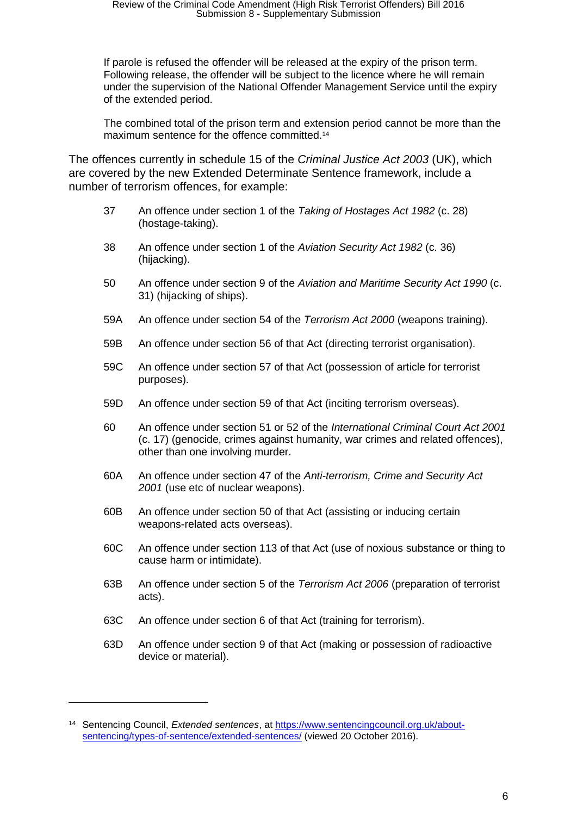If parole is refused the offender will be released at the expiry of the prison term. Following release, the offender will be subject to the licence where he will remain under the supervision of the National Offender Management Service until the expiry of the extended period.

The combined total of the prison term and extension period cannot be more than the maximum sentence for the offence committed.<sup>14</sup>

The offences currently in schedule 15 of the *Criminal Justice Act 2003* (UK), which are covered by the new Extended Determinate Sentence framework, include a number of terrorism offences, for example:

- 37 An offence under section 1 of the *Taking of Hostages Act 1982* (c. 28) (hostage-taking).
- 38 An offence under section 1 of the *Aviation Security Act 1982* (c. 36) (hijacking).
- 50 An offence under section 9 of the *Aviation and Maritime Security Act 1990* (c. 31) (hijacking of ships).
- 59A An offence under section 54 of the *Terrorism Act 2000* (weapons training).
- 59B An offence under section 56 of that Act (directing terrorist organisation).
- 59C An offence under section 57 of that Act (possession of article for terrorist purposes).
- 59D An offence under section 59 of that Act (inciting terrorism overseas).
- 60 An offence under section 51 or 52 of the *International Criminal Court Act 2001*  (c. 17) (genocide, crimes against humanity, war crimes and related offences), other than one involving murder.
- 60A An offence under section 47 of the *Anti-terrorism, Crime and Security Act 2001* (use etc of nuclear weapons).
- 60B An offence under section 50 of that Act (assisting or inducing certain weapons-related acts overseas).
- 60C An offence under section 113 of that Act (use of noxious substance or thing to cause harm or intimidate).
- 63B An offence under section 5 of the *Terrorism Act 2006* (preparation of terrorist acts).
- 63C An offence under section 6 of that Act (training for terrorism).
- 63D An offence under section 9 of that Act (making or possession of radioactive device or material).

 $\overline{a}$ 

<sup>14</sup> Sentencing Council, *Extended sentences*, at https://www.sentencingcouncil.org.uk/aboutsentencing/types-of-sentence/extended-sentences/ (viewed 20 October 2016).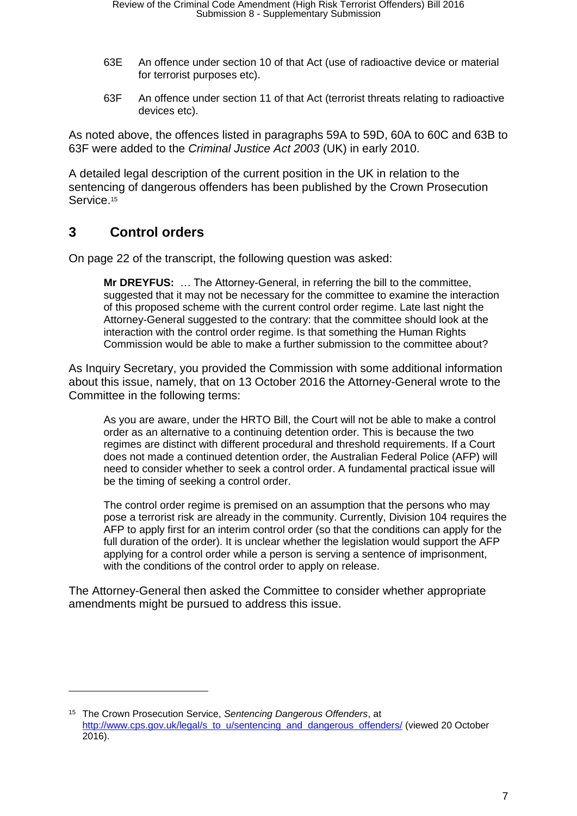- 63E An offence under section 10 of that Act (use of radioactive device or material for terrorist purposes etc).
- 63F An offence under section 11 of that Act (terrorist threats relating to radioactive devices etc).

As noted above, the offences listed in paragraphs 59A to 59D, 60A to 60C and 63B to 63F were added to the *Criminal Justice Act 2003* (UK) in early 2010.

A detailed legal description of the current position in the UK in relation to the sentencing of dangerous offenders has been published by the Crown Prosecution Service.<sup>15</sup>

# **3 Control orders**

 $\overline{a}$ 

On page 22 of the transcript, the following question was asked:

**Mr DREYFUS:** … The Attorney-General, in referring the bill to the committee, suggested that it may not be necessary for the committee to examine the interaction of this proposed scheme with the current control order regime. Late last night the Attorney-General suggested to the contrary: that the committee should look at the interaction with the control order regime. Is that something the Human Rights Commission would be able to make a further submission to the committee about?

As Inquiry Secretary, you provided the Commission with some additional information about this issue, namely, that on 13 October 2016 the Attorney-General wrote to the Committee in the following terms:

As you are aware, under the HRTO Bill, the Court will not be able to make a control order as an alternative to a continuing detention order. This is because the two regimes are distinct with different procedural and threshold requirements. If a Court does not made a continued detention order, the Australian Federal Police (AFP) will need to consider whether to seek a control order. A fundamental practical issue will be the timing of seeking a control order.

The control order regime is premised on an assumption that the persons who may pose a terrorist risk are already in the community. Currently, Division 104 requires the AFP to apply first for an interim control order (so that the conditions can apply for the full duration of the order). It is unclear whether the legislation would support the AFP applying for a control order while a person is serving a sentence of imprisonment, with the conditions of the control order to apply on release.

The Attorney-General then asked the Committee to consider whether appropriate amendments might be pursued to address this issue.

<sup>15</sup> The Crown Prosecution Service, *Sentencing Dangerous Offenders*, at http://www.cps.gov.uk/legal/s to u/sentencing and dangerous offenders/ (viewed 20 October 2016).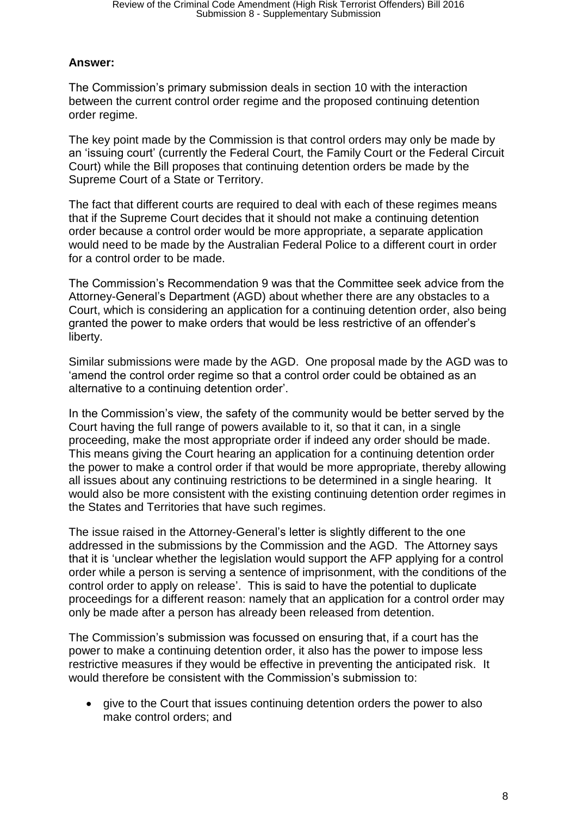## **Answer:**

The Commission's primary submission deals in section 10 with the interaction between the current control order regime and the proposed continuing detention order regime.

The key point made by the Commission is that control orders may only be made by an 'issuing court' (currently the Federal Court, the Family Court or the Federal Circuit Court) while the Bill proposes that continuing detention orders be made by the Supreme Court of a State or Territory.

The fact that different courts are required to deal with each of these regimes means that if the Supreme Court decides that it should not make a continuing detention order because a control order would be more appropriate, a separate application would need to be made by the Australian Federal Police to a different court in order for a control order to be made.

The Commission's Recommendation 9 was that the Committee seek advice from the Attorney-General's Department (AGD) about whether there are any obstacles to a Court, which is considering an application for a continuing detention order, also being granted the power to make orders that would be less restrictive of an offender's liberty.

Similar submissions were made by the AGD. One proposal made by the AGD was to 'amend the control order regime so that a control order could be obtained as an alternative to a continuing detention order'.

In the Commission's view, the safety of the community would be better served by the Court having the full range of powers available to it, so that it can, in a single proceeding, make the most appropriate order if indeed any order should be made. This means giving the Court hearing an application for a continuing detention order the power to make a control order if that would be more appropriate, thereby allowing all issues about any continuing restrictions to be determined in a single hearing. It would also be more consistent with the existing continuing detention order regimes in the States and Territories that have such regimes.

The issue raised in the Attorney-General's letter is slightly different to the one addressed in the submissions by the Commission and the AGD. The Attorney says that it is 'unclear whether the legislation would support the AFP applying for a control order while a person is serving a sentence of imprisonment, with the conditions of the control order to apply on release'. This is said to have the potential to duplicate proceedings for a different reason: namely that an application for a control order may only be made after a person has already been released from detention.

The Commission's submission was focussed on ensuring that, if a court has the power to make a continuing detention order, it also has the power to impose less restrictive measures if they would be effective in preventing the anticipated risk. It would therefore be consistent with the Commission's submission to:

 give to the Court that issues continuing detention orders the power to also make control orders; and